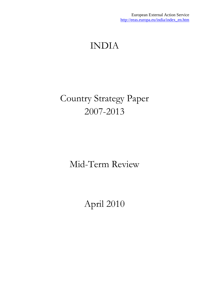# <span id="page-0-0"></span>INDIA

# Country Strategy Paper 2007-2013

## Mid-Term Review

# April 2010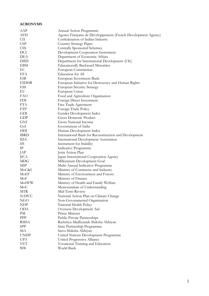#### **ACRONYMS**

| AAP          | Annual Action Programme                                       |
|--------------|---------------------------------------------------------------|
| AFD          | Agence Française de Développement (French Development Agency) |
| CII          | Confederation of Indian Industry                              |
| <b>CSP</b>   | <b>Country Strategy Paper</b>                                 |
| <b>CSS</b>   | <b>Centrally Sponsored Schemes</b>                            |
| DCI          | Development Cooperation Instrument                            |
| DEA          | Department of Economic Affairs                                |
| DfID         | Department for International Development (UK)                 |
| <b>EBM</b>   | <b>Educationally Backward Minorities</b>                      |
| EС           | European Commission                                           |
| EFA          | Education for All                                             |
| EIB          | European Investment Bank                                      |
| <b>EIDHR</b> | European Initiative for Democracy and Human Rights            |
| ESS          |                                                               |
| EU           | <b>European Security Strategy</b>                             |
|              | European Union                                                |
| <b>FAO</b>   | Food and Agriculture Organisation                             |
| <b>FDI</b>   | Foreign Direct Investment                                     |
| <b>FTA</b>   | Free Trade Agreement                                          |
| <b>FTP</b>   | Foreign Trade Policy                                          |
| GDI          | Gender Development Index                                      |
| GDP          | <b>Gross Domestic Product</b>                                 |
| <b>GNI</b>   | Gross National Income                                         |
| GoI          | Government of India                                           |
| HDI          | Human Development Index                                       |
| <b>IBRD</b>  | International Bank for Reconstruction and Development         |
| <b>IDA</b>   | <b>International Development Association</b>                  |
| IfS          | Instrument for Stability                                      |
| IP           | Indicative Programme                                          |
| JAP          | Joint Action Plan                                             |
| <b>JICA</b>  | Japan International Cooperation Agency                        |
| MDG          | Millennium Development Goal                                   |
| МIР          | Multi-Annual Indicative Programme                             |
| MoC&I        | Ministry of Commerce and Industry                             |
| MoEF         | Ministry of Environment and Forests                           |
| MoF          | Ministry of Finance                                           |
| MoHFW        | Ministry of Health and Family Welfare                         |
| MoU          | Memorandum of Understanding                                   |
| <b>MTR</b>   | Mid-Term Review                                               |
| <b>NAPCC</b> | National Action Plan on Climate Change                        |
| <b>NGO</b>   | Non-Governmental Organisation                                 |
| NHP          | National Health Policy                                        |
| <b>ODA</b>   | Overseas Development Aid                                      |
| PM           | Prime Minister                                                |
| PPP          | Public Private Partnerships                                   |
| <b>RMSA</b>  | Rashtriya Madhyamik Shiksha Abhiyan                           |
| SPP          | State Partnership Programme                                   |
| SSA          |                                                               |
|              | Sarva Shiksha Abhiyan                                         |
| <b>UNDP</b>  | United Nations Development Programme                          |
| <b>UPA</b>   | United Progressive Alliance                                   |
| <b>VET</b>   | Vocational Training and Education                             |
| <b>WB</b>    | World Bank                                                    |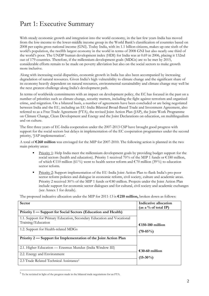## Part 1: Executive Summary

With steady economic growth and integration into the world economy, in the last few years India has moved from the low-income to the lower-middle income group in the World Bank's classification of countries based on 2008 per capita gross national income (GNI). Today India, with its 1.1 billion citizens, makes up one sixth of the world's population, the twelfth largest economy in the world in terms of 2008 GNI but also nearly one third of the world's poor. The UNDP human development index (HDI) for India was at 0.69 in 2006, placing it 132nd out of 179 countries. Therefore, if the millennium development goals (MDGs) are to be met by 2015, considerable efforts remain to be made on poverty alleviation but also on the social sectors to make growth more inclusive.

Along with increasing social disparities, economic growth in India has also been accompanied by increasing degradation of natural resources. Given India's high vulnerability to climate change and the significant share of its economy heavily dependent on natural resources, environmental sustainability and climate change may well be the next greatest challenge along India's development path.

In terms of worldwide commitments with an impact on development policy, the EC has focused in the past on a number of priorities such as climate change, security matters, including the fight against terrorism and organised crime, and migration. On a bilateral basis, a number of agreements have been concluded or are being negotiated between India and the EU, including an EU-India Bilateral Broad-Based Trade and Investment Agreement, also referred to as a Free Trade Agreement (FTA), the revised Joint Action Plan (JAP), the Joint Work Programme on Climate Change, Clean Development and Energy and the Joint Declarations on education, on multilingualism and on culture.

The first three years of EC-India cooperation under the 2007-2013 CSP have brought good progress with support for the social sectors but delays in implementation of the EC cooperation programmes under the second priority, 'JAP implementation'.

A total of **€ 260 million** was envisaged for the MIP for 2007-2010. The following action is planned in the two main priority areas:

- Priority 1: Help India meet the millennium development goals by providing budget support for the social sectors (health and education). Priority 1 received 70% of the MIP 1 funds or € 180 million, of which € 110 million (61%) went to health sector reform and €70 million (39%) to education sector reform.
- Priority 2: Support implementation of the EU-India Joint Action Plan to flank India's pro-poor sector reform policies and dialogue in economic reform, civil society, culture and academic areas. Priority 2 received 30% of the MIP 1 funds or  $\epsilon$ 80 million. Projects under the Joint Action Plan include support for economic sector dialogues and for cultural, civil society and academic exchanges (see Annex 1 for details).

The proposed indicative allocation under the MIP for 2011-13 is **€ 210 million,** broken down as follows:

| <b>Sector</b>                                                                                                                            | Indicative allocation<br>(as a % of total IP) |
|------------------------------------------------------------------------------------------------------------------------------------------|-----------------------------------------------|
| Priority 1 — Support for Social Sectors (Education and Health)<br>1.1. Support for Primary Education, Secondary Education and Vocational |                                               |
| Training/Education<br>1.2. Support for Health-related MDGs                                                                               | €150-180 million                              |
| Priority 2 — Support for Implementation of the Joint Action Plan                                                                         | $(70-85\%)$                                   |
|                                                                                                                                          |                                               |
| 2.1. Higher Education — Erasmus Mundus (India Window III)<br>2.2. Energy and Environment                                                 | €30-60 million<br>$(15-30\%)$                 |
| 2.3 Trade Related Technical Assistance <sup>1</sup>                                                                                      |                                               |

<sup>1</sup> To be revisited in light of the progress made in the bilateral trade negotiations for an FTA.

 $\overline{a}$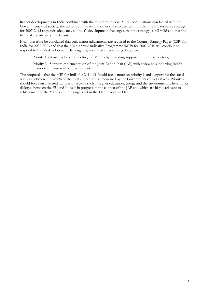Recent developments in India combined with the mid-term review (MTR) consultations conducted with the Government, civil society, the donor community and other stakeholders confirm that the EC response strategy for 2007-2013 responds adequately to India's development challenges, that the strategy is still valid and that the fields of activity are still relevant.

It can therefore be concluded that only minor adjustments are required to the Country Strategy Paper (CSP) for India for 2007-2013 and that the Multi-annual Indicative Programme (MIP) for 2007-2010 will continue to respond to India's development challenges by means of a two-pronged approach:

- Priority 1 Assist India with meeting the MDGs by providing support to the social sectors;
- Priority 2 Support implementation of the Joint Action Plan (JAP) with a view to supporting India's pro-poor and sustainable development.

The proposal is that the MIP for India for 2011-13 should focus more on priority 1 and support for the social sectors (between 70%-85% of the total allocation), as requested by the Government of India (GoI). Priority 2 should focus on a limited number of sectors such as higher education, energy and the environment, where policy dialogue between the EU and India is in progress in the context of the JAP and which are highly relevant to achievement of the MDGs and the targets set in the 11th Five-Year Plan.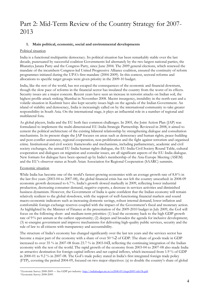### Part 2: Mid-Term Review of the Country Strategy for 2007- 2013

#### **1. Main political, economic, social and environmental developments**

#### Political situation

India is a functional multipartite democracy. Its political situation has been remarkably stable over the last decade, punctuated by successful coalition Governments led alternately by the two largest national parties, the Bharatiya Janata Party and the Congress Party, since June 2004. The 2009 general elections, which renewed the mandate of the incumbent Congress-led United Progressive Alliance coalition, ensured the continuity of reform programmes initiated during the UPA's first mandate (2004-2009). In this context, sectoral reforms and allocations to specific target groups were given priority in the 2009-10 budget.

India, like the rest of the world, has not escaped the consequences of the economic and financial downturn, though the slow pace of reforms in the financial sector has insulated the country from the worst of its effects. Security issues are a major concern. Recent years have seen an increase in terrorist attacks on Indian soil, the highest profile attack striking Mumbai in November 2008. Maoist insurgency, instability in the north-east and a volatile situation in Kashmir have also kept security issues high on the agenda of the Indian Government. An island of stability and democracy, India is increasingly called on by the international community to take greater responsibility in South Asia. On the international stage, it plays an influential role in a number of regional and multilateral fora.

As global players, India and the EU both face common challenges. In 2005, the Joint Action Plan (JAP) was formulated to implement the multi-dimensional EU-India Strategic Partnership. Reviewed in 2008, it aimed to cement the political architecture of the existing bilateral relationship by strengthening dialogue and consultation mechanisms. In its present shape the JAP focuses on areas such as democracy and human rights, peace-building and post-conflict assistance, regional cooperation, non-proliferation and the fight against terrorism and organised crime. Institutional and civil society frameworks and mechanisms, including parliamentary, academic and civil society exchanges, the annual EU-India human rights dialogue, the EU-India Civil Society Round Table, cultural cooperation and dialogues on migration and consular issues, are all significant aspects of the EU-India dialogue. New formats for dialogue have been opened up by India's membership of the Asia-Europe Meeting (ASEM) and the EU's observer status at South Asian Association for Regional Cooperation (SAARC) summits.

#### Economic situation

While India has become one of the world's fastest growing economies with an average growth rate of 8.8% in the last five years (2003-04 to 2007-08), the global financial crisis has not left the country unscathed: in 2008-09 economic growth decreased to 6.7%. India's growth slowed markedly in 2009, reflecting lower industrial production, decreasing consumer demand, negative exports, a decrease in services activities and diminished business dynamism. However, the Government of India is quite confident that the Indian economy will remain relatively resilient to the global slowdown, with the support of well-functioning financial markets and sound macro-economic indicators such as increasing domestic savings, robust internal demand, lower inflation and comfortable foreign exchange reserves coupled with the impact of the Government's fiscal and monetary action. As highlighted by the Minister of Finance at the presentation of the 2009-2010 budget in July 2009, the GoI will focus on the following short- and medium-term priorities: (1) lead the economy back to the high GDP growth rate of 9% per annum at the earliest opportunity; (2) deepen and broaden the agenda for inclusive development; (3) re-energise government and improve mechanisms for delivering high-quality public services, security and the rule of law to all citizens with transparency and accountability.

The structure of India's economy has changed significantly over the last ten years and the services sector has become a major part of the economy with a share of over 50 %2 of GDP. The share of goods trade in GDP increased to over 35 % in 2007-08 from 23.7 % in 2003-043, reflecting the continuing integration of the Indian economy with the rest of the world. The rapid growth of the economy from 2003-04 to 2007-08 also made India an attractive destination for foreign capital inflows and net capital inflows, which increased from 1.9 % of GDP in 2000-01 to 9.2 % in 2007-08. The GoI's trade policy stated in India's first integrated foreign trade policy (FTP), covering the period 2004-09, focused on two major objectives: (a) to double the country's share of global

 $\overline{a}$ 2 Economic Survey 2008-2009 — See GDP per industry[: http://indiabudget.nic.in/es2008-09/chapt2009/tab13b.pdf.](http://indiabudget.nic.in/es2008-09/chapt2009/tab13b.pdf) 3 Economic Survey 2008-2009.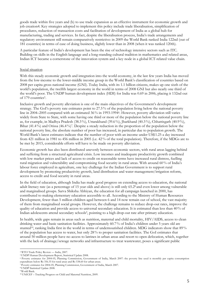goods trade within five years and (b) to use trade expansion as an effective instrument for economic growth and job creation4. Key strategies adopted to implement this policy include trade liberalisation, simplification of procedures, reduction of transaction costs and facilitation of development of India as a global hub for manufacturing, trading and services. In fact, despite the liberalisation process, India's trade arrangements and regulatory environment still remain comparatively restrictive: in 2009 the World Bank ranked India 122nd (out of 181 countries) in terms of ease of doing business, slightly lower than in 2008 (when it was ranked 120th).

A particular feature of India's development has been the rise of technology intensive sectors such as ITC. Building on skills in the English language and a long-standing cultural tradition in mathematics and related areas, Indian ICT became a cornerstone of the innovation system and a key node in a global ICT-related value chain.

#### Social situation

With this steady economic growth and integration into the world economy, in the last few years India has moved from the low-income to the lower-middle income group in the World Bank's classification of countries based on 2008 per capita gross national income (GNI). Today India, with its 1.1 billion citizens, makes up one sixth of the world's population, the twelfth largest economy in the world in terms of 2008 GNI but also nearly one third of the world's poor. The UNDP human development index (HDI) for India was 0.69 in 2006, placing it 132nd out of 179 countries<sup>5</sup>.

Inclusive growth and poverty alleviation is one of the main objectives of the Government's development strategy. The GoI's poverty rate estimates point to 27.5% of the population living below the nationa[l poverty](#page-0-0)  [line i](#page-0-0)n 2004–2005 compared with an estimated 36% in 1993-19946. However, poverty alleviation still varies widely from State to State, with some having one third or more of the population below the national poverty line as, for example, in Madhya Pradesh (38.3%), Uttarakhand (39.6%), Jharkhand (40.3%), Chhattisgarh (40.9%), Bihar (41.4%) and Orissa (46.4%)7. Despite a steady reduction in the proportion of the population below the national poverty line, the absolute number of poor has increased, in particular due to population growth. The World Bank's latest estimates indicate that the number of poor with an income under US\$1.25 a day increased from 421 million in 1981 to 456 million in 2005 (i.e. 42% of the total population). Therefore, if the MDGs are to be met by 2015, considerable efforts will have to be made on poverty alleviation.

Economic growth has also been distributed unevenly between economic sectors, with rural areas lagging behind and suffering from a structural agricultural crisis. Low incomes and inadequate productivity growth combined with low market prices and lack of access to credit on reasonable terms have increased rural distress, fuelling rural migration and vulnerability and compromising food security in rural areas. With around 60% of India's labour force employed in agriculture, one key challenge for the Indian Government is to support rural development by promoting productivity growth, land distribution and water management/irrigation reform, access to credit and food security in rural areas.

In the field of education, although India has made good progress on extending access to education, the national adult literacy rate (as a percentage of 15 year olds and above) is still only 65.28 and even lower among vulnerable and marginalised groups. Sarva Shiksha Abhiyan, the education for all campaign launched in 2000, has contributed to making elementary education accessible to all. According to the Ministry of Human Resources Development, fewer than 5 million children aged between 6 and 14 now remain out of school, the vast majority of them from marginalised social groups. However, the challenge remains to reduce drop-out rates, improve the quality of education and provide access to universal secondary education. It is estimated than less than 40% of Indian adolescents attend secondary schools9, pointing to a high drop-out rate after primary education.

In health, wide gaps remain in areas such as nutrition, maternal and child mortality, HIV/AIDS, access to clean drinking water and basic sanitation facilities. Approximately 60.7% of India's children under 5 years old are stunted<sup>10</sup>, ranking India first in the world in terms of undernourished children. MDG indicators show that 89% of the population has access to water, but only 28% to proper sanitation facilities. The GoI estimates that around 50 million people have no access to latrines in urban areas and resort to open defecation, which, together with the lack of drainage/sewage networks and infrastructure to treat wastewater, poses a significant public

 $\overline{a}$ 

<sup>4</sup> WTO Trade Policy Review — India, 2007.

<sup>&</sup>lt;sup>6</sup> Poverty estimates for 2004-05, Planning Commission, Government of India, March 2007: the poverty line used is monthly per capita consumption expenditure below Rs 356.35 for rural areas and Rs 538.60 for urban areas.

<sup>7</sup> Poverty estimates for 2004-05, Planning Commission, Government of India, March 2007. 8 UNDP Statistical Update 2008.

<sup>9</sup> World Bank.

<sup>10</sup> UNICEF – Tracking Progress on Child and Maternal Nutrition, 2009.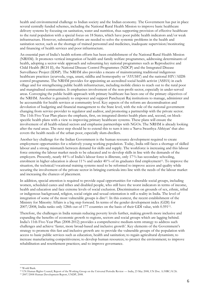health and environmental challenge to Indian society and the Indian economy. The Government has put in place several centrally funded schemes, including the National Rural Health Mission to improve basic healthcare delivery systems by focusing on sanitation, water and nutrition, thus supporting provision of effective healthcare to the rural population with a special focus on 18 States, which have poor public health indicators and/or weak infrastructure. However, substantial efforts are needed to solve the systemic problems in the health and sanitation sector, such as the shortage of trained personnel and medicines, inadequate supervision/monitoring and financing of health services and poor infrastructure.

An essential part of India's health reform efforts has been establishment of the National Rural Health Mission (NRHM). It promotes vertical integration of health and family welfare programmes, addressing determinants of health, adopting a sector-wide approach and subsuming key national programmes such as Reproductive and Child Health (RCH II), the National Disease Control Programmes (NDCP) and the Integrated Disease Surveillance Project (IDSP). The NRHM also provides a means of mainstreaming traditional indigenous healthcare practices (ayurveda, yoga, unani, siddha and homeopathy or 'AYUSH') and the national HIV/AIDS control programme. The NRHM provides for appointing an accredited social health activist (ASHA) in each village and for strengthening public health infrastructure, including mobile clinics to reach out to the rural poor and marginalised communities. It emphasises involvement of the non-profit sector, especially in under-served areas. Converging the public health approach with primary healthcare has been one of the primary objectives of the NRHM. Another is genuinely to empower and support Panchayati Raj institutions to manage, administer and be accountable for health services at community level. Key aspects of the reform are decentralisation and devolution of budgeting and financial management to the State level, with the role of the national government changing from service-provider to regulator and auditor, and promoting a partnership with the private sector. The 11th Five-Year Plan places the emphasis, first, on integrated district health plans and, second, on blockspecific health plans with a view to improving primary healthcare systems. These plans will ensure the involvement of all health-related sectors and emphasise partnerships with NGOs. The NRHM is already looking after the rural areas. The next step should be to extend this to turn it into a 'Sarva Swasthya Abhiyan' that also covers the health needs of the urban poor, especially slum-dwellers.

Another key challenge for the Indian Government is the human resource development required to create employment opportunities for a relatively young working population. Today, India still faces a shortage of skilled labour and a strong mismatch between demand for skills and supply. The workforce is increasing and this labour force entering the labour market needs to be educated and to develop skills in line with the demands of the employers. Presently, nearly 44% of India's labour force is illiterate, only 17% has secondary schooling, enrolment in higher education is about 11% and under 40% of its graduates find employment<sup>11</sup>. To improve the situation, the technical/vocational training systems need to be reformed to improve access and quality while securing the involvement of the private sector in bringing curricula into line with the needs of the labour market and increasing the chances of placement.

In addition, special attention is required to provide equal opportunities for vulnerable social groups, including women, scheduled castes and tribes and disabled people, who still have the worst indicators in terms of income, health and education and face extreme levels of social exclusion. Discrimination on grounds of sex, ethnic, tribal or indigenous background, religion, social origin and sexual orientation is still a reality in India. The level of integration of some of the most vulnerable groups is dire12. In this context, the recent establishment of the Ministry for Minority Affairs is a big step forward. In terms of the gender development index (GDI) for 2007/2008, India ranks only 128th out of 177 countries on the basis of their GDI value, with 0.59113.

Therefore, the challenges in India remain reducing poverty levels further, making growth more inclusive and expanding the benefits of economic growth to regions, sectors and social groups which are lagging behind. India's 11th Five-Year Plan (2008-2012) provides a comprehensive medium-term strategy to address such challenges and achieve 'faster, more broad-based and inclusive growth'. Key elements of the Government's strategy to promote this fast and inclusive growth are: to provide the vulnerable groups of the population with access to basic public services such as education, health and sanitation; to regain agricultural dynamism; to increase manufacturing competitiveness; to develop human resources; to protect the environment; to improve rehabilitation and resettlement practices; and to improve governance.

 $\overline{a}$ 

<sup>11</sup> World Bank.

<sup>12</sup> UN Human Rights Council, Report of the Working Group on the Universal Periodic Review — India, 23 May 2008, UN Doc. A/HRC/8/26.

<sup>13 2007/2008</sup> Human Development Report, UNDP, 2008.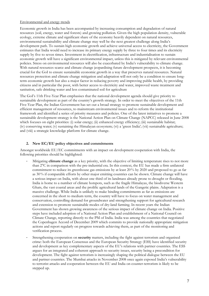#### Environmental and energy trends

Economic growth in India has been accompanied by increasing consumption and degradation of natural resources (soil, energy, water and forests) and growing pollution. Given the high population density, vulnerable ecology, extreme climate and significant share of the economy heavily dependent on natural resources, environmental sustainability and climate change may well be the next greatest challenge along India's development path. To sustain high economic growth and achieve universal access to electricity, the Government estimates that India would need to increase its primary energy supply by three to four times and its electricity supply by five to seven times. Investment in electrification, infrastructure and industrialisation to sustain economic growth will have a significant environmental impact, unless this is mitigated by relevant environmental policies. Stress on environmental resources will also be exacerbated by India's vulnerability to climate change. With natural resources scarce and climate change jeopardising future development prospects, it is becoming crucial for the GoI to ensure sustainable economic growth in a way that preserves natural resources. Natural resources protection and climate change mitigation and adaptation will not only be a condition to ensure longterm economic growth but also a major factor in reducing poverty and improving public health, by providing citizens and in particular the poor, with better access to electricity and water, improved waste treatment and sanitation, safe drinking water and less contaminated soil for agriculture

The GoI's 11th Five-Year Plan emphasises that the national development agenda should give priority to sustainable development as part of the country's growth strategy. In order to meet the objectives of the 11th Five-Year Plan, the Indian Government has set out a broad strategy to promote sustainable development and efficient management of resources, to mainstream environmental issues and to reform the institutional framework and identified a series of priority measures and policies. One of the latest initiatives to promote a sustainable development strategy is the National Action Plan on Climate Change (NAPCC) released in June 2008 which focuses on eight priorities: (i) solar energy; (ii) enhanced energy efficiency; (iii) sustainable habitat; (iv) conserving water; (v) sustaining the Himalayan ecosystem; (vi) a 'green India'; (vii) sustainable agriculture; and (viii) a strategic knowledge platform for climate change.

#### **2. New EC/EU policy objectives and commitments**

Amongst worldwide EU/EC commitments with an impact on development cooperation with India, the following priorities should be highlighted:

- Mitigating **climate change** as a key priority, with the objective of limiting temperature rises to not more than 2°C in comparison with the pre-industrial era. In this context, the EU has made a firm unilateral commitment to reduce its greenhouse gas emissions by at least 20% by 2020 and proposed to go as far as 30% if comparable efforts by other major emitting countries can be shown. Climate change will have a serious impact on India, with about one third of its landmass already prone to drought or flooding. India is home to a number of climate hotspots, such as the fragile Himalayas, the biodiverse Western Ghats, the vast coastal areas and the prolific agricultural lands of the Gangetic plains. Adaptation is a massive challenge. While India is unlikely to make binding commitments as far as emissions are concerned in the short to medium term, the country will have to focus on water management and conservation, controlling demand for groundwater and strengthening support for agricultural research and extension to promote sustainable modes of dry-land farming. In recent years the Indian Government has shown growing awareness of the serious impact of climate change on India. Positive steps have included adoption of a National Action Plan and establishment of a National Council on Climate Change, reporting directly to the PM of India. India was among the countries that negotiated the Copenhagen Accord of December 2009 which commits to provide nationally appropriate mitigation actions and report regularly on progress towards achieving them, as part of the monitoring and verification process.
- Strengthening cooperation on **security** matters, including the fight against terrorism and organised crime: both the European Consensus and the European Security Strategy (ESS) have identified security and development as key complementary aspects of the EU's relations with partner countries. The ESS argues for an integrated and coherent approach to security issues, security being a precondition for development. The fight against terrorism is increasingly shaping the political dialogue between the EU and partner countries. The Mumbai attacks in November 2008 once again exposed India's vulnerability to terrorist attacks and cooperation between the EU and India on counter-terrorism is likely to be stepped up.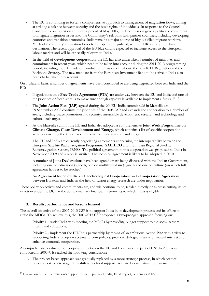- The EU is continuing to foster a comprehensive approach to management of **migration** flows, aiming at striking a balance between security and the basic rights of individuals. In response to the Council Conclusions on migration and development of May 2003, the Commission gave a political commitment to integrate migration issues into the Community's relations with partner countries, including developing countries and transition economies. India remains a major source of highly skilled migrant workers. Much of the country's migration flows to Europe is unregulated, with the UK as the prime final destination. The recent approval of the EU blue card is expected to facilitate access to the European labour market and will be especially relevant to India.
- In the field of **development cooperation**, the EC has also undertaken a number of initiatives and commitments in recent years, which need to be taken into account during the 2011-2013 programming period, including the EU Code of Conduct on Division of Labour, the new ICI+ Regulation and the Backbone Strategy. The new mandate from the European Investment Bank to be active in India also needs to be taken into account.

On a bilateral basis, a number of agreements have been concluded or are being negotiated between India and the EU:

- Negotiations on a **Free Trade Agreement (FTA)** are under way between the EU and India and one of the priorities on both sides is to make sure enough capacity is available to implement a future FTA.
- The **Joint Action Plan (JAP)** agreed during the 9th EU-India summit held in Marseille on 29 September 2008 confirms the priorities of the 2005 JAP and expands the cooperation to a number of areas, including peace promotion and security, sustainable development, research and technology and cultural exchanges.
- At the Marseille summit the EU and India also adopted a comprehensive **Joint Work Programme on Climate Change, Clean Development and Energy**, which contains a list of specific cooperation activities covering the key areas of the environment, research and energy.
- The EU and India are currently negotiating agreements concerning the interoperability between the European Satellite Radionavigation Programme **GALILEO** and the Indian Regional Satellite Radionavigation System, IRNSS. The political agreement on this cooperation was proposed to India in November 2009 and a reply is awaited. The technical agreement is likely to be adopted in 2010.
- A number of **Joint Declarations** have been agreed or are being discussed with the Indian Government, including one on education (signed), one on multilingualism (signed) and one on culture (on which full agreement has yet to be reached).
- An **Agreement for Scientific and Technological Cooperation** and a **Cooperation Agreement** between Euratom and India in the field of fusion energy research are under negotiation.

These policy objectives and commitments are, and will continue to be, tackled directly or as cross-cutting issues in action under the DCI or the complementary financial instruments to which India is eligible.

#### **3. Results, performance and lessons learned**

 $\overline{a}$ 

The overall objective of the 2007-2013 CSP is to support India in its development process and its efforts to attain the MDGs. To achieve this, the 2007-2013 CSP proposed a two-pronged approach focusing on:

- Priority 1 Assist India with meeting the MDGs by providing budget support to the social sectors (health and education);
- Priority 2 Implement the EU-India partnership by means of an ambitious Action Plan with a view to supporting India's pro-poor sectoral reform policies, promote dialogue in areas of mutual interest and enhance economic cooperation.

A comprehensive evaluation of cooperation between the EC and India over the period 1991 to 2005 was conducted in 200514. It reached the following conclusions:

1. The project-based approach was gradually replaced by a more strategic process, in which sectoral policies took centre stage. This shift to sectoral support facilitated a qualitative improvement in the

<sup>&</sup>lt;sup>14</sup> Evaluation of the Commission's Support to the Republic of India, Final Report, September 2008.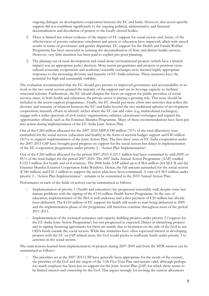ongoing dialogue on development cooperation between the EC and India. However, this sector-specific support did not contribute significantly to the ongoing political, administrative and financial decentralisation and devolution of powers to the locally elected bodies.

- 2. There is limited but robust evidence of the impact of EC support for social sectors and, hence, of the effectiveness of poverty reduction: enrolment and access to education have improved, albeit with mixed results in terms of governance and gender disparities. EC support for the Health and Family Welfare Programme has been successful in assisting the decentralisation of State and district health services. However, very little attention has been paid to explicit pro-poor planning.
- 3. The phasing-out of rural development and stand-alone environmental projects (which have a limited impact) was an appropriate policy decision. More recent programmes and projects to promote crosscultural economic cooperation and academic/scientific exchanges were deemed highly appropriate responses to the increasing diversity and maturity of EU-India relations. These measures have the potential for high and sustainable visibility.

The evaluation recommended that the EC should give priority to improved governance and accountability in its work in the two social sectors granted the majority of the support and use its leverage capacity to facilitate structural reforms. Furthermore, the EC should sharpen the focus on support for public providers of social services since, in both health and education, the private sector is playing a growing role. This issue should be included in the sector-support programmes. Finally, the EC should put more effort into activities that reflect the diversity and maturity of relations between the EU and India beyond the two traditional spheres of development cooperation; intensify efforts to identify niches where the EC can add value (e.g. multicultural exchanges); engage with a wider spectrum of civil society organisations; enhance educational exchanges; and expand the opportunities offered, such as the Erasmus Mundus Programme. Many of these recommendations have been put into action during implementation of the EU-India Joint Action Plan.

Out of the €260 million allocated for the 2007-2010 MIP, €180 million (70% of the total allocation) were earmarked for the social sectors (education and health) in the form of sectoral budget support and  $\epsilon$ 80 million (30%) to support implementation of the Joint Action Plan. The first three years of EC-India cooperation under the 2007-2013 CSP have brought good progress on support for the social sectors but delays in implementation of the EC cooperation programmes under priority 2 - 'Action Plan Implementation'.

Out of the  $\epsilon$ 260 million allocated for the period 2007-2010,  $\epsilon$ 221.1 million had been committed by mid-2009, or 85% of the total budget for the period 2007-2010. The 2007 India Annual Action Programme (AAP) totalled € 122.5 million (for health and civil aviation). The 2008 India AAP added up to € 98.6 million (for SSA II and the Erasmus Mundus External Cooperation India Window). Hence, the full amount earmarked for the social sectors (€ 180 million) and € 41.1 million to support the action plan have been committed. A sum of € 38.9 million under priority 2 - 'Action Plan Implementation' - remains to be committed in the 2010 Annual Action Plan.

Performance in each of the fields of activity can be summarised as follows:

- Implementation of priority 1 ('health and education') has progressed reasonably well, despite some lastminute problems with the signing of the  $\epsilon$ 110 million Health Sector Programme. In the case of education, implementation of the SSA is well underway and a first payment of  $\epsilon$ 20 million has already been disbursed. The € 110 million of EC support for health still needs to start being disbursed in 2009 and the implementation phase of the programme will therefore continue throughout most of the period 2011-2013.
- Implementation of the technical assistance and capacity-building projects under priority 2 ('support for the EU-India Joint Action Programme') has not progressed as expected. Delays in identifying projects and in signing financing agreements for them are mainly due to hesitation on the side of the GoI to use ODA funds outside the social sectors. While line ministries have often expressed interest in developing projects with the EC on JAP-related areas, the GoI would prefer to reallocate funds under priority 2 to activities in the social sectors.

The main lessons learned from implementation of projects during 2007-2009 and from the MTR mission can be summarised as follows:

The priorities set in the 2007-2013 CSP have generally been appropriate for the needs of the country, the priorities of the GoI and the targets of the 11th Five-Year Plan and remain valid, although perhaps too much emphasis has been put on support for the Joint Action Plan (JAP) for which there seems to be limited interest and ownership by the GoI. This argues strongly for revising the current allocations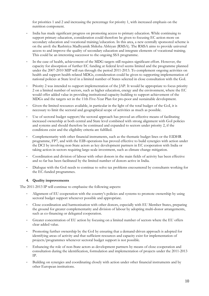for priorities 1 and 2 and increasing the percentage for priority 1, with increased emphasis on the nutrition component.

- India has made significant progress on promoting access to primary education. While continuing to support primary education, consideration could therefore be given to focusing EC action more on secondary education and vocational training/education. In this area, a new centrally sponsored scheme is on the anvil: the Rashtriya Madhyamik Shiksha Abhiyan (RMSA). The RMSA aims to provide universal access to and improve the quality of secondary education and integrate elements of vocational training. This could be an interesting successor to the ongoing SSA programme.
- In the case of health, achievement of the MDG targets still requires significant effort. However, the capacity for absorption of further EC funding at federal level seems limited and the programme planned under the 2007-2010 MIP will run through the period 2011-2013. To complement ongoing activities on health and support health-related MDGs, consideration could be given to supporting implementation of national policies at State level in a limited number of States selected in close consultation with the GoI.
- Priority 2 was intended to support implementation of the JAP. It would be appropriate to focus priority 2 on a limited number of sectors, such as higher education, energy and the environment, where the EC would offer added value in providing institutional capacity-building to support achievement of the MDGs and the targets set in the 11th Five-Year Plan for pro-poor and sustainable development.
- Given the limited resources available, in particular in the light of the total budget of the GoI, it is necessary to limit the sectoral and geographical scope of activities as much as possible.
- Use of sectoral budget support/the sectoral approach has proved an effective means of facilitating increased ownership at both central and State level combined with strong alignment with GoI policies and systems and should therefore be continued and expanded to sectors under priority 2, if the conditions exist and the eligibility criteria are fulfilled.
- Complementarity with other financial instruments, such as the thematic budget lines or the EIDHR programme, FP7, and with the EIB operations has proved effective to build synergies with action under the DCI by involving non-State actors as key development partners in EC cooperation with India or taking action in sectors requiring large-scale investment, such as climate change mitigation.
- Coordination and division of labour with other donors in the main fields of activity has been effective and so far has been facilitated by the limited number of donors active in India.
- Dialogue with the GoI needs to continue to solve tax problems encountered by consultants working for the EC-funded programmes.

#### **4. Quality improvements**

The 2011-2013 IP will continue to emphasise the following aspects:

- Alignment of EU cooperation with the country's policies and systems to promote ownership by using sectoral budget support whenever possible and appropriate.
- Close coordination and harmonisation with other donors, especially with EU Member States, preparing the ground for greater complementarity and division of labour by adopting multi-donor arrangements, such as co-financing or delegated cooperation.
- Greater concentration of EU action by focusing on a limited number of sectors where the EU offers clear added value.
- Promoting further ownership by the GoI by ensuring that a demand-driven approach is adopted for identifying areas of activity and that sufficient resources and capacity exist for implementation of projects/programmes whenever sectoral budget support is not possible.
- Enhancing the role of non-State actors as development partners by means of close cooperation and consultation during the identification, formulation and implementation of projects under the 2011-2013 IP.
- Building on synergies and coordinating closely with action under other financial instruments and by other European institutions.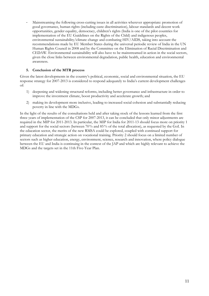- Mainstreaming the following cross-cutting issues in all activities wherever appropriate: promotion of good governance, human rights (including caste discrimination), labour standards and decent work opportunities, gender equality, democracy, children's rights (India is one of the pilot countries for implementation of the EU Guidelines on the Rights of the Child) and indigenous peoples, environmental sustainability/climate change and combating HIV/AIDS, taking into account the recommendations made by EU Member States during the universal periodic review of India in the UN Human Rights Council in 2008 and by the Committee on the Elimination of Racial Discrimination and CEDAW. Environmental sustainability will also have to be mainstreamed in action in the social sectors, given the close links between environmental degradation, public health, education and environmental awareness.

#### **5. Conclusion of the MTR process**

Given the latest developments in the country's political, economic, social and environmental situation, the EU response strategy for 2007-2013 is considered to respond adequately to India's current development challenges of:

- 1) deepening and widening structural reforms, including better governance and infrastructure in order to improve the investment climate, boost productivity and accelerate growth; and
- 2) making its development more inclusive, leading to increased social cohesion and substantially reducing poverty in line with the MDGs.

In the light of the results of the consultations held and after taking stock of the lessons learned from the first three years of implementation of the CSP for 2007-2013, it can be concluded that only minor adjustments are required in the MIP for 2011-2013. In particular, the MIP for India for 2011-13 should focus more on priority 1 and support for the social sectors (between 70% and 85% of the total allocation), as requested by the GoI. In the education sector, the merits of the new RMSA could be explored, coupled with continued support for primary education and strategic action on vocational training. Priority 2 should focus on a limited number of sectors such as higher education, energy, environment, science, research and innovation, where policy dialogue between the EU and India is continuing in the context of the JAP and which are highly relevant to achieve the MDGs and the targets set in the 11th Five-Year Plan.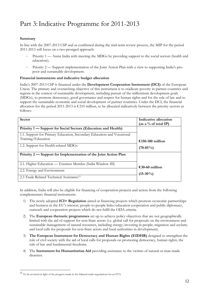## Part 3:Indicative Programme for 2011-2013

#### **Summary**

In line with the 2007-2013 CSP and as confirmed during the mid-term review process, the MIP for the period 2011-2013 will focus on a two-pronged approach:

- Priority 1 Assist India with meeting the MDGs by providing support to the social sectors (health and education);
- Priority 2 Support implementation of the Joint Action Plan with a view to supporting India's propoor and sustainable development.

#### **Financial instruments and indicative budget allocation**

India's 2007-2013 CSP is financed under the **Development Cooperation Instrument (DCI)** of the European Union. The primary and overarching objective of this instrument is to eradicate poverty in partner countries and regions in the context of sustainable development, including pursuit of the millennium development goals (MDGs), to promote democracy, good governance and respect for human rights and for the rule of law and to support the sustainable economic and social development of partner countries. Under the DCI, the financial allocation for the period 2011-2013 is  $\epsilon$  210 million, to be allocated indicatively between the priority sectors as follows:

| <b>Sector</b>                                                          | Indicative allocation<br>(as a % of total IP) |
|------------------------------------------------------------------------|-----------------------------------------------|
| Priority 1 — Support for Social Sectors (Education and Health)         |                                               |
| 1.1. Support for Primary Education, Secondary Education and Vocational |                                               |
| Training/Education                                                     | €150-180 million                              |
| 1.2. Support for Health-related MDGs                                   | $(70-85\%)$                                   |
| Priority 2 — Support for Implementation of the Joint Action Plan       |                                               |
| 2.1. Higher Education — Erasmus Mundus (India Window III)              | €30-60 million<br>$(15-30\%)$                 |
| 2.2. Energy and Environment                                            |                                               |
| 2.3 Trade Related Technical Assistance <sup>15</sup>                   |                                               |

In addition, India will also be eligible for financing of cooperation projects and action from the following complementary financial instruments:

- 1) The newly adopted **ICI+ Regulation** aimed at financing projects which promote economic partnerships and business in the EU's interest, people-to-people links/education cooperation and public diplomacy, outreach and cooperation projects which do not fulfil the ODA criteria.
- 2) The **European thematic programmes** set up to achieve policy objectives that are not geographically limited with the aid of support for non-State actors (i.e. global call for proposals on the environment and sustainable management of natural resources, including energy; investing in people; migration and asylum; and local calls for proposals for non-State actors and local authorities in development).
- 3) **The European Instrument for Democracy and Human Rights (EIDHR)** designed to strengthen the role of civil society with the aid of local calls for proposals on promoting democracy, human rights, the rule of law and fundamental freedoms.
- 4) The **Instrument for Humanitarian Aid** providing assistance to the victims of natural or man-made disasters.

 $\overline{a}$ 

<sup>15</sup> To be revisited in light of the progress made in the bilateral trade negotiations for an FTA.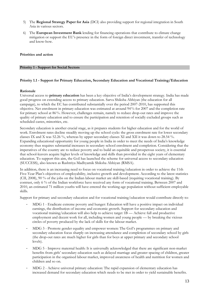- 5) The **Regional Strategy Paper for Asia** (DCI) also providing support for regional integration in South Asia in various sectors.
- 6) The **European Investment Bank** lending for financing operations that contribute to climate change mitigation or support the EU's presence in the form of foreign direct investment, transfer of technology and know-how.

#### **Priorities and action**

#### **Priority 1 - Support for Social Sectors**

#### **Priority 1.1 - Support for Primary Education, Secondary Education and Vocational Training/Education**

#### **Rationale**

Universal access to **primary education** has been a key objective of India's development strategy. India has made good progress on extending access to primary education. Sarva Shiksha Abhiyan (the education for all campaign), to which the EC has contributed substantially over the period 2007-2010, has supported this objective. Net enrolment in primary education was estimated at around 94% for 2007 and the completion rate for primary school at 86%. However, challenges remain, namely to reduce drop-out rates and improve the quality of primary education and to ensure the participation and retention of socially excluded groups such as scheduled castes, minorities, etc.

Secondary education is another crucial stage, as it prepares students for higher education and for the world of work. Enrolment rates decline steadily moving up the school cycle: the gross enrolment rate for lower secondary classes IX and X was 52.26 %, whereas by upper secondary classes XI and XII it was down to 28.54 %. Expanding educational opportunity for young people in India in order to meet the needs of India's knowledge economy thus requires substantial increases in secondary school enrolment and completion. Considering that the imperatives of the country are to reduce poverty and to build an equitable and prosperous society, it is essential that school-leavers acquire higher levels of knowledge and skills than provided in the eight years of elementary education. To support this aim, the GoI has launched the scheme for universal access to secondary education (SUCCESS), also known as Rashtriya Madhyamik Shiksha Abhiyan (RMSA).

In addition, there is an increasing need to focus on vocational training/education in order to achieve the 11th Five-Year Plan's objectives of employability, inclusive growth and development. According to the latest statistics (CII, 2008), 90 % of the jobs on the Indian labour market are skill-based (requiring vocational training). By contrast, only 6 % of the Indian workforce have received any form of vocational training. Between 2007 and 2010, an estimated 71 million youths will have entered the working-age population without sufficient employable skills.

Support for primary and secondary education and for vocational training/education would contribute directly to:

- MDG 1 Eradicate extreme poverty and hunger: Education will have a positive impact on individual earnings, the distribution of income and economic growth. Support for secondary education and vocational training/education will also help to achieve target 1B — Achieve full and productive employment and decent work for all, including women and young people — by breaking the vicious circles of poverty produced by the lack of skills for the labour market.
- MDG 3 Promote gender equality and empower women: The GoI's programmes on primary and secondary education focus sharply on increasing attendance and completion of secondary school by girls (the drop-out rates are much higher for girls than for boys at upper primary and secondary school levels).
- MDG 5 Improve maternal health: It is universally acknowledged that there are significant non-market benefits from girls' secondary education such as delayed marriage and greater spacing of children, greater participation in the organised labour market, improved awareness of health and nutrition for women and children and so on.
- MDG 2 Achieve universal primary education: The rapid expansion of elementary education has increased demand for secondary education which needs to be met in order to yield sustainable benefits.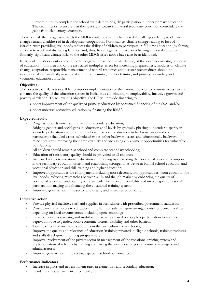Opportunities to complete the school cycle determine girls' participation in upper primary education. The GoI intends to ensure that the next steps towards universal secondary education consolidate the gains from elementary education.

There is a risk that progress towards the MDGs could be severely hampered if challenges relating to climate change remain unaddressed in development cooperation. For instance, climate change leading to loss of infrastructure providing livelihoods reduces the ability of children to participate in full-time education (by forcing children to work and displacing families) and, thus, has a negative impact on achieving universal education. Similarly, significant climate risks to the other MDGs listed above have also been identified.

In view of India's evident exposure to the negative impact of climate change, of the awareness-raising potential of education in this area and of the associated multiplier effect for increasing preparedness, modules on climate change, adaptation, responsible management of natural resources and disaster preparedness should be incorporated systematically in national education planning, teacher training and primary, secondary and vocational education curricula.

#### **Objectives**

The objective of EU action will be to support implementation of the national policies to promote access to and enhance the quality of the education system in India, thus contributing to employability, inclusive growth and poverty alleviation. To achieve this objective, the EU will provide financing to:

- support improvement of the quality of primary education by continued financing of the SSA; and/or
- ‒ support universal secondary education by financing the RMSA.

#### **Expected results**

- Progress towards universal primary and secondary education;
- Bridging gender and social gaps in education at all levels by gradually phasing out gender disparity in secondary education and promoting adequate access to education in backward areas and communities, particularly scheduled castes, scheduled tribes, other backward castes and educationally backward minorities, thus improving their employability and increasing employment opportunities for vulnerable populations;
- All children should remain at school and complete secondary schooling;
- Education of satisfactory quality should be provided to all children;
- Increased access to vocational education and training by expanding the vocational education component in the secondary education system and establishing stronger links between formal school education and vocational education and skill training and higher education;
- Improved opportunities for employment, including more decent work opportunities, from education for livelihoods, reducing mismatches between skills and the job market by enhancing the quality of vocational education and training with particular focus on employability and involving various social partners in managing and financing the vocational training system;
- Improved governance in the sector and quality and relevance of education.

#### **Indicative action**

- Provide physical facilities, staff and supplies in accordance with prescribed government standards;
- Provide means of access to education in the form of safe transport arrangements/residential facilities, depending on local circumstances, including open schooling;
- Carry out awareness-raising and mobilisation activities based on people's participation to address deprivation due to gender, socio-economic factors, disability and other barriers;
- Train teachers and instructors and reform the curriculum and textbooks;
- Improve the quality and relevance of education/training imparted in eligible schools, training institutes and skills development training programmes;
- Improve involvement of the private sector in management of the vocational training system and implementation of reforms by training and raising the awareness of policy planners, managers and administrators;
- Improve governance in the sector, especially school performance.

#### **Performance indicators**

- Increase in gross and net enrolment rates in elementary and secondary education;
- Gender and social parity in enrolments;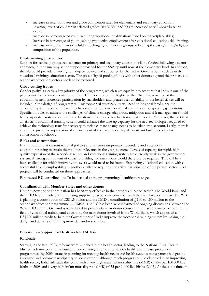- Increase in retention rates and grade completion rates for elementary and secondary education;
- Learning levels of children in selected grades (say V, VII and X) are increased to x% above baseline levels;
- Increase in percentage of youth acquiring vocational qualifications based on marketplace skills;
- Increase in percentage of youth gaining productive employment after vocational education/skill training.
- Increase in retention rates of children belonging to minority groups, reflecting the caste/ethnic/religious composition of the population.

#### **Implementing procedures**

Support for centrally sponsored schemes on primary and secondary education will be funded following a sector approach, in the same way as the support provided for the SSA up until now at the elementary level. In addition, the EU could provide financing for projects owned and supported by the Indian Government, such as in the vocational training/education sector. The possibility of pooling funds with other donors beyond the primary and secondary education sectors needs to be explored.

#### **Cross-cutting issues**

Gender parity is clearly a key priority of the programme, which takes equally into account that India is one of the pilot countries for implementation of the EU Guidelines on the Rights of the Child. Governance of the education system, increased participation by stakeholders and greater accountability to the beneficiaries will be included in the design of programmes. Environmental sustainability will need to be considered since the education system is one of the main vehicles to promote environmental awareness among young generations. Specific modules to address the challenges of climate change adaptation, mitigation and risk management should be incorporated systematically in the education curricula and teacher training at all levels. Moreover, the fact that an efficient vocational training system could enhance the take-up capacity for the new technologies required to achieve the technology transfer necessary to tackle climate change needs to be taken into account. Lastly, there is a need for proactive supervision of enforcement of the existing earthquake-resistant building codes for construction of schools.

#### **Risks and assumptions**

It is important that current national policies and schemes on primary, secondary and vocational education/training maintain their political relevance in the years to come. Levels of capacity for rapid, highquality expansion of the secondary school and vocational training system are currently weak in the government system. A strong component of capacity-building for institutions would therefore be required. This will be a huge challenge for which innovative answers would need to be found. Expanding vocational education with a successful link to employability is another challenge requiring the active participation of the private sector. Pilot projects will be conducted on these approaches.

**Estimated EU contribution:** To be decided at the programming/identification stage.

#### **Coordination with Member States and other donors**

Up until now donor coordination has been very effective in the primary education sector. The World Bank and the DfID have already been discussing support for secondary education with the GoI for about a year. The WB is planning a contribution of US\$ 1.5 billion and the DfID a contribution of  $\ell$  100 to 150 million to the secondary education programme — RMSA. The EC has been kept informed of ongoing discussions between the WB, DfID and the GoI and is well-placed to join this familiar donor consortium for secondary education. In the field of vocational training and education, the main donor involved is the World Bank, which approved a US\$ 280 million credit to help the Government of India improve the vocational training system by making the design and delivery of training more demand-responsive.

#### **Priority 1.2 - Support for Health-related MDGs**

#### **Rationale**

Starting in the late 1990s, reforms were launched in the health sector, leading to the National Rural Health Mission, a framework for reform and vertical integration of the various health and disease prevention programmes. By 2009, strategic planning for meeting health needs and health systems management had greatly improved and become participatory to some extent. Although much progress can be observed in an improving health sector, India still leads the world with a very high maternal mortality rate (MMR) of 254 per 100 000 live births in 2008 and a very high infant mortality rate (IMR) of 53 per 1 000 live births (2006). At the same time, the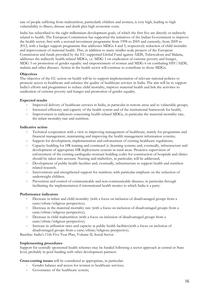rate of people suffering from malnutrition, particularly children and women, is very high, leading to high vulnerability to illness, disease and death plus high economic costs.

India has subscribed to the eight millennium development goals, of which the first five are directly or indirectly related to health. The European Commission has supported the initiatives of the Indian Government to improve the health sector, first with a sectoral investment programme from 1998 to 2005 and currently, from 2009 to 2012, with a budget support programme that addresses MDGs 4 and 5, respectively reduction of child mortality and improvement of maternal health. This, in addition to many smaller-scale projects of the European Commission and funds provided by the EU-supported Global Fund against AIDS, Tuberculosis and Malaria, addresses the indirectly health-related MDGs, i.e. MDG 1 on eradication of extreme poverty and hunger, MDG 3 on promotion of gender equality and empowerment of women and MDG 6 on combating HIV/AIDS, malaria and other diseases. Action in the health sector will continue to contribute to those MDGs.

#### **Objectives**

The objective of the EU action on health will be to support implementation of relevant national policies to promote access to healthcare and enhance the quality of healthcare services in India. The aim will be to support India's efforts and programmes to reduce child mortality, improve maternal health and link the activities to eradication of extreme poverty and hunger and promotion of gender equality.

#### **Expected results**

- Improved delivery of healthcare services in India, in particular in remote areas and to vulnerable groups;
- Increased efficiency and capacity of the health system and of the institutional framework for health;
- Improvement in indicators concerning health-related MDGs, in particular the maternal mortality rate, the infant mortality rate and nutrition.

#### **Indicative action**

- Technical cooperation with a view to improving management of healthcare, mainly for programme and financial management, maintaining and improving the health management information systems;
- Support for development, implementation and enforcement of existing healthcare regulations;
- Capacity-building for HR training and continued (e-)learning systems and, eventually, infrastructure and development of appropriate HR deployment systems in rural areas. Proactive supervision of enforcement of the existing earthquake-resistant building codes for construction of hospitals and clinics should be taken into account. Nursing and midwifery, in particular, will be addressed;
- Development of public health faculties and, eventually, infrastructure to support health and nutrition related research.
- Interventions and strengthened support for nutrition, with particular emphasis on the reduction of underweight children.
- Prevention and control of communicable and non-communicable diseases, in particular through facilitating the implementation if international health treaties to which India is a party.

#### **Performance indicators**

- Decrease in infant and child mortality (with a focus on inclusion of disadvantaged groups from a caste/ethnic/religious perspective);
- Decrease in the maternal mortality rate (with a focus on inclusion of disadvantaged groups from a caste/ethnic/religious perspective);
- Decrease in child malnutrition (with a focus on inclusion of disadvantaged groups from a caste/ethnic/religious perspective);
- Increase in utilisation rates and capacity at public health facilities(with a focus on inclusion of disadvantaged groups from a caste/ethnic/religious perspective).

Baseline: India's 11th Five-Year Plan, Volume II, Social Sector.

#### **Implementing procedures**

Support for centrally sponsored health schemes may be funded following a sector approach at central or State level, probably in pool funding with other development partners.

#### **Cross-cutting issues** will be considered as appropriate, in particular:

- Gender balance and access for women to healthcare services;
- Governance of the healthcare system;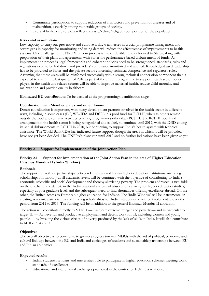- Community participation to support reduction of risk factors and prevention of diseases and of malnutrition, especially among vulnerable groups of society.
- Users of health care services reflect the caste/ethnic/religious composition of the population.

#### **Risks and assumptions**

Low capacity to carry out preventive and curative tasks, weaknesses in crucial programme management and severe gaps in capacity for monitoring and using data will reduce the effectiveness of improvements to health systems. One challenge in the NRHM reform process is use of flexible funds allocated to States, along with preparation of their plans and agreements with States for performance-based disbursement of funds. As implementation proceeds, legal frameworks and coherent policies need to be strengthened; standards, rules and regulations need to be laid down and providers' compliance monitored and audited. Knowledge-based leadership has to be provided to States and the private sector concerning technical competence and regulatory roles. Assuming that these areas will be reinforced successfully with a strong technical cooperation component that is expected to start in the last quarter of 2010 as part of the current programme to support health sector policy, players in the health and related sectors will be able to improve maternal health, reduce child mortality and malnutrition and provide quality healthcare.

**Estimated EU contribution:** To be decided at the programming/identification stage.

#### **Coordination with Member States and other donors**

Donor coordination is important, with many development partners involved in the health sector in different ways, including in some cases (EC, WB/IDA and DfID) in a pool fund for RCH II, whereas others remain outside the pool and/or have activities covering programmes other than RCH II. The RCH II pool fund arrangement in the health sector is being renegotiated and is likely to continue until 2012, with the DfID ending its actual disbursements to RCH II in 2010, but continuing to support India's health system with technical assistance. The World Bank/IDA has indicated future support, though the areas in which it will be provided have not yet been decided. The UNFPA's plans run until 2012 and no further indications have been given as yet.

#### **Priority 2 — Support for Implementation of the Joint Action Plan**

#### **Priority 2.1 — Support for Implementation of the Joint Action Plan in the area of Higher Education — Erasmus Mundus II (India Window)**

#### **Rationale**

The support to facilitate partnerships between European and Indian higher education institutions, including scholarships for mobility at all academic levels, will be continued with the objective of contributing to India's economic, scientific and social development and thereby alleviating poverty. The problem addressed is two-fold: on the one hand, the deficit, in the Indian national system, of absorption capacity for higher education studies, especially at post-graduate level, and the subsequent need to find alternatives offering excellence abroad. On the other, the limited access to European higher education for Indians. The 'India Window' will be instrumental in creating academic partnerships and funding scholarships for Indian students and will be implemented over the period from 2011 to 2013. The funding will be in addition to the general Erasmus Mundus II allocation.

The action will contribute directly to MDG  $1 -$  Eradicate extreme hunger and poverty  $-$  and in particular to target 1B — Achieve full and productive employment and decent work for all, including women and young people — by breaking the vicious circles of poverty produced by the lack of skills in India. It will also contribute to MDGs 3, 4 and 7.

#### **Objectives**

The overall objective is to contribute to greater progress towards MDGs with the aid of political, economic and cultural link-ups between the EU and India and exchanges of students and sustainable partnerships between EU and Indian academics.

#### **Expected results**

- Indian students, scholars and universities able to participate in higher education schemes meeting world standards of excellence;
- Educational and intercultural exchanges promoted in the context of EU-India relations;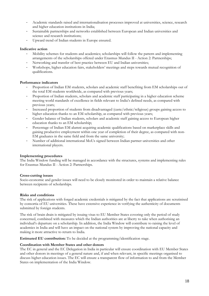- Academic standards raised and internationalisation processes improved at universities, science, research and higher education institutions in India;
- Sustainable partnerships and networks established between European and Indian universities and science and research institutions;
- Upward trend of Indian students in Europe ensured.

#### **Indicative action**

- Mobility schemes for students and academics; scholarships will follow the pattern and implementing arrangements of the scholarships offered under Erasmus Mundus II - Action 2: Partnerships;
- Networking and transfer of best practice between EU and Indian universities;
- Workshops, higher education fairs, stakeholders' meetings and steps towards mutual recognition of qualifications.

#### **Performance indicators**

- Proportion of Indian EM students, scholars and academic staff benefiting from EM scholarships out of the total EM students worldwide, as compared with previous years;
- Proportion of Indian students, scholars and academic staff participating in a higher education scheme meeting world standards of excellence in fields relevant to India's defined needs, as compared with previous years;
- Increased proportion of students from disadvantaged (caste/ethnic/religious) groups gaining access to higher education thanks to an EM scholarship, as compared with previous years;
- Gender balance of Indian students, scholars and academic staff gaining access to European higher education thanks to an EM scholarship;
- Percentage of Indian EM alumni acquiring academic qualifications based on marketplace skills and gaining productive employment within one year of completion of their degree, as compared with non-EM graduates in the same field and from the same university;
- Number of additional international MoUs signed between Indian partner universities and other international players.

#### **Implementing procedures**

The India Window funding will be managed in accordance with the structures, systems and implementing rules for Erasmus Mundus II - Action 2: Partnerships.

#### **Cross-cutting issues**

Socio-economic and gender issues will need to be closely monitored in order to maintain a relative balance between recipients of scholarships.

#### **Risks and conditions**

The risk of applications with forged academic credentials is mitigated by the fact that applications are scrutinised by consortia of EU universities. These have extensive experience in verifying the authenticity of documents submitted by foreign students.

The risk of brain drain is mitigated by issuing visas to EU Member States covering only the period of study concerned, combined with measures which the Indian authorities are at liberty to take when authorising an individual's departure on a scholarship. In addition, the India Window will contribute to raising the level of academics in India and will have an impact on the national system by improving the national capacity and making it more attractive to return to India.

**Estimated EU contribution:** To be decided at the programming/identification stage.

#### **Coordination with Member States and other donors**

The EC in general and the EC Delegation in India in particular will ensure coordination with EU Member States and other donors in meetings of a general nature and, if and when relevant, in specific meetings organised to discuss higher education issues. The EC will ensure a transparent flow of information to and from the Member States on implementation of the India Window.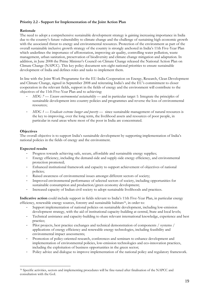#### **Priority 2.2 - Support for Implementation of the Joint Action Plan**

#### **Rationale**

The need to adopt a comprehensive sustainable development strategy is gaining increasing importance in India due to the country's future vulnerability to climate change and the challenge of sustaining high economic growth with the associated threat to energy and environmental resources. Protection of the environment as part of the overall sustainable inclusive growth strategy of the country is strongly anchored in India's 11th Five-Year Plan which underlines the importance of afforestation, improving air quality, controlling water pollution, waste management, urban sanitation, preservation of biodiversity and climate change mitigation and adaptation. In addition, in June 2008 the Prime Minister's Council on Climate Change released the National Action Plan on Climate Change (NAPCC). This key policy document sets eight national priorities to ensure sustainable development of India and defines roles and tasks to implement them.

In line with the Joint Work Programme for the EU-India Cooperation on Energy, Research, Clean Development and Climate Change, signed in September 2008 and reiterating India's and the EU's commitment to closer cooperation in the relevant fields, support in the fields of energy and the environment will contribute to the objectives of the 11th Five-Year Plan and to achieving:

- *MDG 7 Ensure environmental sustainability* and in particular target 1: Integrate the principles of sustainable development into country policies and programmes and reverse the loss of environmental resources;
- *MDG 1 Eradicate extreme hunger and poverty* since sustainable management of natural resources is the key to improving, over the long term, the livelihood assets and resources of poor people, in particular in rural areas where most of the poor in India are concentrated.

#### **Objectives**

 $\overline{a}$ 

The overall objective is to support India's sustainable development by supporting implementation of India's national policies in the fields of energy and the environment.

#### **Expected results**

- Progress towards achieving safe, secure, affordable and sustainable energy supplies;
- Energy efficiency, including the demand-side and supply-side energy efficiency, and environmental protection promoted;
- Enhanced institutional framework and capacity to support achievement of objectives of national policies;
- Raised awareness of environmental issues amongst different sectors of society;
- Improved environmental performance of selected sectors of society, including opportunities for sustainable consumption and production/green economy development;
- Increased capacity of Indian civil society to adopt sustainable livelihoods and practices.

**Indicative action** could include support in fields relevant to India's 11th Five-Year Plan, in particular energy efficiency, renewable energy sources, forestry and sustainable habitats<sup>16</sup>, in order to:

- Support implementation of national policies on sustainable development, including low-emission development strategy, with the aid of institutional capacity-building at central, State and local levels;
- Technical assistance and capacity-building to share relevant international knowledge, experience and best practice;
- Pilot projects, best practice exchanges and technical demonstration of components / systems / applications of energy efficiency and renewable energy technologies, including feasibility and environmental impact assessments;
- Promotion of policy-oriented research, conferences and seminars to enhance development and implementation of environmental policies, low-emission technologies and eco-innovation practices, including the exploitation of business opportunities in the green sector;
- Policy advice and dialogue to improve implementation of the national policy and regulatory framework.

<sup>16</sup> Specific activities, sectors and implementing procedures will be fine-tuned after finalisation of the NAPCC and consultation with the GoI.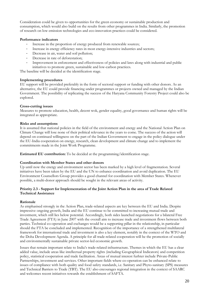Consideration could be given to opportunities for the green economy or sustainable production and consumption, which would also build on the results from other programmes in India. Similarly, the promotion of research on low emission technologies and eco-innovation practices could be considered.

#### **Performance indicators**

- Increase in the proportion of energy produced from renewable sources;
- Increase in energy efficiency rates in most energy-intensive industries and sectors;
- Decrease in air, water and soil pollution;
- Decrease in rate of deforestation;
- Improvement in enforcement and effectiveness of policies and laws along with industrial and public initiatives to promote green, sustainable and low-carbon practices.

The baseline will be decided at the identification stage.

#### **Implementing procedures**

EU support will be provided preferably in the form of sectoral support or funding with other donors. As an alternative, the EU could provide financing under programmes or projects owned and managed by the Indian Government. The possibility of replicating the success of the Haryana Community Forestry Project could also be explored.

#### **Cross-cutting issues**

Measures to promote education, health, decent wok, gender equality, good governance and human rights will be integrated as appropriate.

#### **Risks and assumptions**

It is assumed that national policies in the field of the environment and energy and the National Action Plan on Climate Change will lose none of their political relevance in the years to come. The success of the action will depend on continued willingness on the part of the Indian Government to engage in the policy dialogue under the EU-India cooperation on energy, research, clean development and climate change and to implement the commitments made in the Joint Work Programme.

**Estimated EU contribution:** To be decided at the programming/identification stage.

#### **Coordination with Member States and other donors**

Up until now the energy and environment sector has been marked by a high level of fragmentation. Several initiatives have been taken by the EU and the UN to enhance coordination and avoid duplication. The EU Environment Counsellors Group provides a good channel for coordination with Member States. Whenever possible, a multi-donor approach should be sought in the relevant areas of activity.

#### **Priority 2.3 - Support for Implementation of the Joint Action Plan in the area of Trade Related Technical Assistance**

#### **Rationale**

As emphasised strongly in the Action Plan, trade-related aspects are key between the EU and India. Despite impressive ongoing growth, India and the EU continue to be committed to increasing mutual trade and investment, which still lies below potential. Accordingly, both sides launched negotiations for a bilateral Free Trade Agreement (FTA) in June 2007 with the overall aim to increase trade and investment flows between both parties. Technical co-operation and exchanges would be a supporting pillar in the relationship, in particular should the FTA be concluded and implemented. Recognition of the importance of a strengthened multilateral framework for international trade and investment is also a key element, notably in the context of the WTO and the Doha Development Agenda. A principle for all trade-related cooperation will be the promotion of socially and environmentally sustainable private sector-led economic growth.

Issues that remain important relate to India's trade-related infrastructure. Themes in which the EU has a clear added value, include areas like intellectual property rights (including Geographical Indicators) and competition policy, statistical cooperation and trade facilitation. Areas of mutual interest furhter include Private-Public Partnerships, investment and services. Other important fields where co-operation can be enhanced relate to issues of compliance with both quality and food safety standards, i.e. Sanitary and Phyto-sanitary (SPS) measures and Technical Barriers to Trade (TBT). The EU also encourages regional integration in the context of SAARC and welcomes recent initiatives towards the establishment of SAFTA.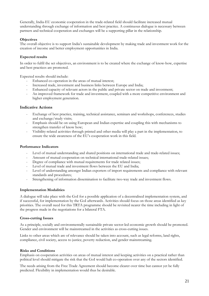Generally, India-EU economic cooperation in the trade-related field should facilitate increased mutual understanding through exchange of information and best practice. A continuous dialogue is necessary between partners and technical cooperation and exchanges will be a supporting pillar in the relationship.

#### **Objectives**

The overall objective is to support India's sustainable development by making trade and investment work for the creation of income and better employment opportunities in India.

#### **Expected results**

In order to fulfil the set objectives, an environment is to be created where the exchange of know-how, expertise and best practices are promoted.

Expected results should include:

- Enhanced co-operation in the areas of mutual interest;
- Increased trade, investment and business links between Europe and India;
- Enhanced capacity of relevant actors in the public and private sector on trade and investment;
- An improved framework for trade and investment, coupled with a more competitive environment and higher employment generation.

#### **Indicative Actions**

- Exchange of best practice, training, technical assistance, seminars and workshops, conferences, studies and exchange/study visits;
- Emphasis should be on using European and Indian expertise and coupling this with mechanisms to strengthen transfer of know how;
- Visibility-related activities through printed and other media will play a part in the implementation, to ensure the wide awareness of the EU's cooperation work in this field.

#### **Performance Indicators**

- Level of mutual understanding and shared positions on international trade and trade-related issues;
- Amount of mutual cooperation on technical international trade-related issues;
- Degree of compliance with mutual requirements for trade related issues;
- Level of mutual trade and investment flows between the EU and India;
- Level of understanding amongst Indian exporters of import requirements and compliance with relevant standards and procedures;
- Strengthening of information dissemination to facilitate two-way trade and investment flows.

#### **Implementation Modalities**

A dialogue will take place with the GoI for a possible application of a decentralised implementation system, and if successful, for implementation by the GoI afterwards. Activities should focus on those areas identified as key priorities. The overall need for this TRTA programme should be revisited nearer the time including in light of the progress made in the negotiations for a bilateral FTA.

#### **Cross-cutting Issues**

As a principle, socially and environmentally sustainable private sector-led economic growth should be promoted. Gender and environment will be mainstreamed in the activities as cross-cutting issues.

Links to other areas which are of relevance should be taken into account, such as legal reforms, land rights, compliance, civil society, access to justice, poverty reduction, and gender mainstreaming.

#### **Risks and Conditions**

Emphasis on cooperation activities on areas of mutual interest and keeping activities on a practical rather than political level should mitigate the risk that the GoI would halt co-operation over any of the sectors identified.

The needs arising from the Free Trade Agreement should become clearer over time but cannot yet be fully predicted. Flexibility in implementation would thus be desirable.